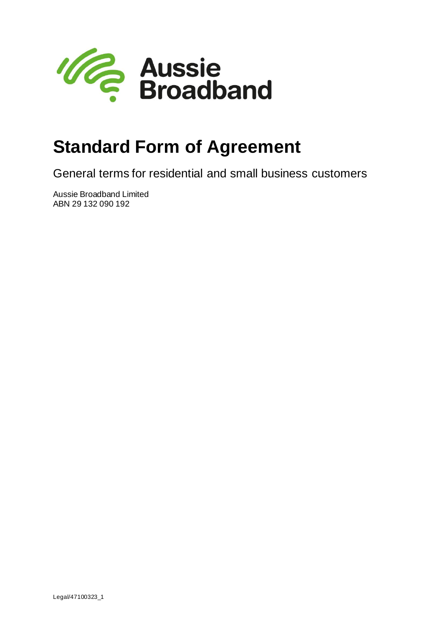

# **Standard Form of Agreement**

General terms for residential and small business customers

Aussie Broadband Limited ABN 29 132 090 192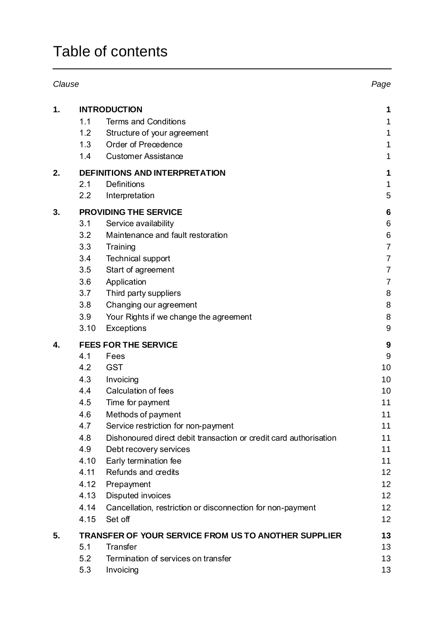## Table of contents

| Clause                                                                          |                  |
|---------------------------------------------------------------------------------|------------------|
| <b>INTRODUCTION</b><br>1.                                                       | 1                |
| 1.1<br><b>Terms and Conditions</b>                                              | 1                |
| 1.2<br>Structure of your agreement                                              | 1                |
| Order of Precedence<br>1.3                                                      | 1                |
| 1.4<br><b>Customer Assistance</b>                                               | 1                |
| 2.<br><b>DEFINITIONS AND INTERPRETATION</b>                                     | 1                |
| 2.1<br><b>Definitions</b>                                                       | 1                |
| 2.2<br>Interpretation                                                           | 5                |
| <b>PROVIDING THE SERVICE</b><br>3.                                              | $6\phantom{1}6$  |
| 3.1<br>Service availability                                                     | $\,6$            |
| 3.2<br>Maintenance and fault restoration                                        | 6                |
| 3.3<br>Training                                                                 | $\overline{7}$   |
| <b>Technical support</b><br>3.4                                                 | 7                |
| 3.5<br>Start of agreement                                                       | 7                |
| 3.6<br>Application                                                              | $\overline{7}$   |
| 3.7<br>Third party suppliers                                                    | 8                |
| 3.8<br>Changing our agreement                                                   | 8                |
| 3.9<br>Your Rights if we change the agreement                                   | 8                |
| 3.10<br><b>Exceptions</b>                                                       | 9                |
| <b>FEES FOR THE SERVICE</b><br>4.                                               | $\boldsymbol{9}$ |
| 4.1<br>Fees                                                                     | 9                |
| 4.2<br><b>GST</b>                                                               | 10               |
| 4.3<br>Invoicing                                                                | 10               |
| Calculation of fees<br>4.4                                                      | 10               |
| 4.5<br>Time for payment                                                         | 11               |
| 4.6<br>Methods of payment                                                       | 11               |
| 4.7<br>Service restriction for non-payment                                      | 11               |
| 4.8<br>Dishonoured direct debit transaction or credit card authorisation<br>4.9 | 11<br>11         |
| Debt recovery services<br>4.10                                                  | 11               |
| Early termination fee<br>Refunds and credits<br>4.11                            | 12               |
| 4.12<br>Prepayment                                                              | 12               |
| 4.13<br>Disputed invoices                                                       | 12               |
| 4.14<br>Cancellation, restriction or disconnection for non-payment              | 12               |
| 4.15<br>Set off                                                                 | 12               |
| 5.<br><b>TRANSFER OF YOUR SERVICE FROM US TO ANOTHER SUPPLIER</b>               | 13               |
| <b>Transfer</b><br>5.1                                                          | 13               |
| 5.2<br>Termination of services on transfer                                      | 13               |
| 5.3<br>Invoicing                                                                | 13               |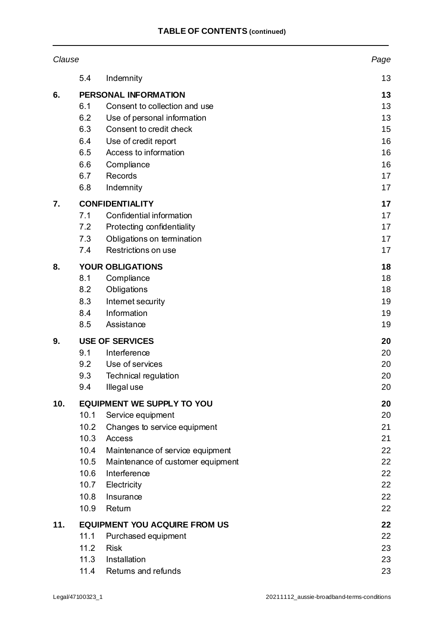|     | Clause       |                                      | Page     |
|-----|--------------|--------------------------------------|----------|
|     | 5.4          | Indemnity                            | 13       |
| 6.  |              | <b>PERSONAL INFORMATION</b>          | 13       |
|     | 6.1          | Consent to collection and use        | 13       |
|     | 6.2          | Use of personal information          | 13       |
|     | 6.3          | Consent to credit check              | 15       |
|     | 6.4          | Use of credit report                 | 16       |
|     | 6.5          | Access to information                | 16       |
|     | 6.6          | Compliance                           | 16       |
|     | 6.7          | Records                              | 17       |
|     | 6.8          | Indemnity                            | 17       |
| 7.  |              | <b>CONFIDENTIALITY</b>               | 17       |
|     | 7.1          | Confidential information             | 17       |
|     | 7.2          | Protecting confidentiality           | 17       |
|     | 7.3          | Obligations on termination           | 17       |
|     | 7.4          | Restrictions on use                  | 17       |
| 8.  |              | <b>YOUR OBLIGATIONS</b>              | 18       |
|     | 8.1          | Compliance                           | 18       |
|     | 8.2          | Obligations                          | 18       |
|     | 8.3          | Internet security                    | 19       |
|     | 8.4          | Information                          | 19       |
|     | 8.5          | Assistance                           | 19       |
| 9.  |              | <b>USE OF SERVICES</b>               | 20       |
|     | 9.1          | Interference                         | 20       |
|     | 9.2          | Use of services                      | 20       |
|     | 9.3          | <b>Technical regulation</b>          | 20       |
|     | 9.4          | Illegal use                          | 20       |
| 10. |              | <b>EQUIPMENT WE SUPPLY TO YOU</b>    | 20       |
|     | 10.1         | Service equipment                    | 20       |
|     | 10.2         | Changes to service equipment         | 21       |
|     | 10.3         | Access                               | 21       |
|     | 10.4         | Maintenance of service equipment     | 22       |
|     | 10.5         | Maintenance of customer equipment    | 22       |
|     | 10.6<br>10.7 | Interference<br>Electricity          | 22<br>22 |
|     | 10.8         | Insurance                            | 22       |
|     | 10.9         | Return                               | 22       |
|     |              |                                      |          |
| 11. | 11.1         | <b>EQUIPMENT YOU ACQUIRE FROM US</b> | 22<br>22 |
|     | 11.2         | Purchased equipment<br><b>Risk</b>   |          |
|     | 11.3         | Installation                         | 23<br>23 |
|     | 11.4         | Returns and refunds                  | 23       |
|     |              |                                      |          |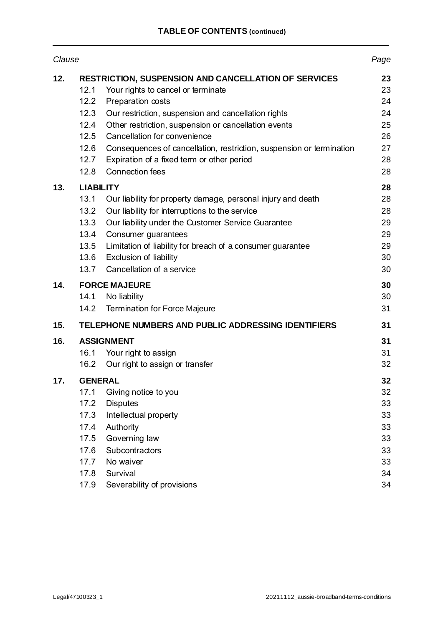| Clause |                                                                          |                                                                                                                                                                                                                                                                                                                                               | Page                                               |
|--------|--------------------------------------------------------------------------|-----------------------------------------------------------------------------------------------------------------------------------------------------------------------------------------------------------------------------------------------------------------------------------------------------------------------------------------------|----------------------------------------------------|
| 12.    | 12.1<br>12.2<br>12.3<br>12.4<br>12.5<br>12.6                             | <b>RESTRICTION, SUSPENSION AND CANCELLATION OF SERVICES</b><br>Your rights to cancel or terminate<br>Preparation costs<br>Our restriction, suspension and cancellation rights<br>Other restriction, suspension or cancellation events<br>Cancellation for convenience<br>Consequences of cancellation, restriction, suspension or termination | 23<br>23<br>24<br>24<br>25<br>26<br>27             |
|        | 12.7<br>12.8                                                             | Expiration of a fixed term or other period<br><b>Connection fees</b>                                                                                                                                                                                                                                                                          | 28<br>28                                           |
| 13.    | <b>LIABILITY</b><br>13.1<br>13.2<br>13.3<br>13.4<br>13.5<br>13.6<br>13.7 | Our liability for property damage, personal injury and death<br>Our liability for interruptions to the service<br>Our liability under the Customer Service Guarantee<br>Consumer guarantees<br>Limitation of liability for breach of a consumer guarantee<br><b>Exclusion of liability</b><br>Cancellation of a service                       | 28<br>28<br>28<br>29<br>29<br>29<br>30<br>30       |
| 14.    |                                                                          | <b>FORCE MAJEURE</b>                                                                                                                                                                                                                                                                                                                          | 30                                                 |
|        | 14.1<br>14.2                                                             | No liability<br><b>Termination for Force Majeure</b>                                                                                                                                                                                                                                                                                          | 30<br>31                                           |
| 15.    |                                                                          | TELEPHONE NUMBERS AND PUBLIC ADDRESSING IDENTIFIERS                                                                                                                                                                                                                                                                                           | 31                                                 |
| 16.    | 16.2                                                                     | <b>ASSIGNMENT</b><br>16.1 Your right to assign<br>Our right to assign or transfer                                                                                                                                                                                                                                                             | 31<br>31<br>32                                     |
| 17.    | <b>GENERAL</b>                                                           |                                                                                                                                                                                                                                                                                                                                               | 32                                                 |
|        | 17.1<br>17.2<br>17.3<br>17.4<br>17.5<br>17.6<br>17.7<br>17.8<br>17.9     | Giving notice to you<br><b>Disputes</b><br>Intellectual property<br>Authority<br>Governing law<br>Subcontractors<br>No waiver<br>Survival<br>Severability of provisions                                                                                                                                                                       | 32<br>33<br>33<br>33<br>33<br>33<br>33<br>34<br>34 |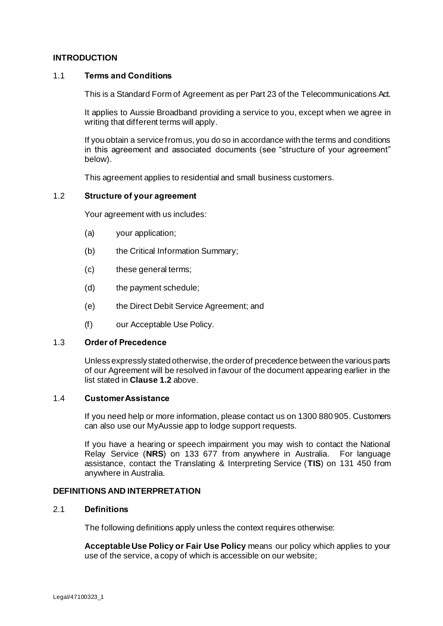## **INTRODUCTION**

## 1.1 **Terms and Conditions**

This is a Standard Form of Agreement as per Part 23 of the Telecommunications Act.

It applies to Aussie Broadband providing a service to you, except when we agree in writing that different terms will apply.

If you obtain a service from us, you do so in accordance with the terms and conditions in this agreement and associated documents (see "structure of your agreement" below).

This agreement applies to residential and small business customers.

## <span id="page-4-0"></span>1.2 **Structure of your agreement**

Your agreement with us includes:

- (a) your application;
- (b) the Critical Information Summary;
- (c) these general terms;
- (d) the payment schedule;
- (e) the Direct Debit Service Agreement; and
- (f) our Acceptable Use Policy.

#### 1.3 **Order of Precedence**

Unless expressly stated otherwise, the order of precedence between the various parts of our Agreement will be resolved in favour of the document appearing earlier in the list stated in **Claus[e 1.2](#page-4-0)** above.

#### 1.4 **Customer Assistance**

If you need help or more information, please contact us on 1300 880 905. Customers can also use our MyAussie app to lodge support requests.

If you have a hearing or speech impairment you may wish to contact the National Relay Service (**NRS**) on 133 677 from anywhere in Australia. For language assistance, contact the Translating & Interpreting Service (**TIS**) on 131 450 from anywhere in Australia.

#### **DEFINITIONS AND INTERPRETATION**

## 2.1 **Definitions**

The following definitions apply unless the context requires otherwise:

**Acceptable Use Policy or Fair Use Policy** means our policy which applies to your use of the service, a copy of which is accessible on our website;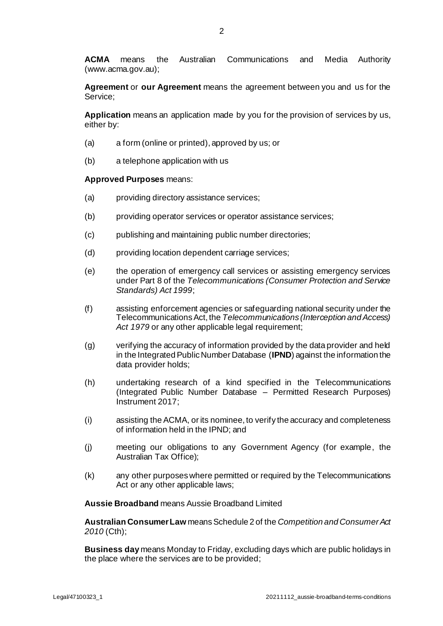**ACMA** means the Australian Communications and Media Authority (www.acma.gov.au);

**Agreement** or **our Agreement** means the agreement between you and us for the Service;

**Application** means an application made by you for the provision of services by us, either by:

- (a) a form (online or printed), approved by us; or
- (b) a telephone application with us

#### **Approved Purposes** means:

- (a) providing directory assistance services;
- (b) providing operator services or operator assistance services;
- (c) publishing and maintaining public number directories;
- (d) providing location dependent carriage services;
- (e) the operation of emergency call services or assisting emergency services under Part 8 of the *Telecommunications (Consumer Protection and Service Standards) Act 1999*;
- (f) assisting enforcement agencies or safeguarding national security under the Telecommunications Act, the *Telecommunications (Interception and Access) Act 1979* or any other applicable legal requirement;
- (g) verifying the accuracy of information provided by the data provider and held in the Integrated Public Number Database (**IPND**) against the information the data provider holds;
- (h) undertaking research of a kind specified in the Telecommunications (Integrated Public Number Database – Permitted Research Purposes) Instrument 2017;
- (i) assisting the ACMA, or its nominee, to verify the accuracy and completeness of information held in the IPND; and
- (j) meeting our obligations to any Government Agency (for example, the Australian Tax Office);
- (k) any other purposes where permitted or required by the Telecommunications Act or any other applicable laws;

**Aussie Broadband** means Aussie Broadband Limited

**Australian Consumer Law** means Schedule 2 of the *Competition and Consumer Act 2010* (Cth);

**Business day** means Monday to Friday, excluding days which are public holidays in the place where the services are to be provided;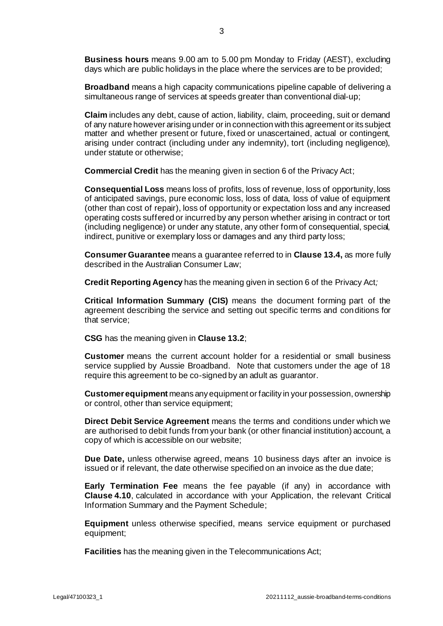**Business hours** means 9.00 am to 5.00 pm Monday to Friday (AEST), excluding days which are public holidays in the place where the services are to be provided;

**Broadband** means a high capacity communications pipeline capable of delivering a simultaneous range of services at speeds greater than conventional dial-up;

**Claim** includes any debt, cause of action, liability, claim, proceeding, suit or demand of any nature however arising under or in connection with this agreement or its subject matter and whether present or future, fixed or unascertained, actual or contingent, arising under contract (including under any indemnity), tort (including negligence), under statute or otherwise;

**Commercial Credit** has the meaning given in section 6 of the Privacy Act;

**Consequential Loss** means loss of profits, loss of revenue, loss of opportunity, loss of anticipated savings, pure economic loss, loss of data, loss of value of equipment (other than cost of repair), loss of opportunity or expectation loss and any increased operating costs suffered or incurred by any person whether arising in contract or tort (including negligence) or under any statute, any other form of consequential, special, indirect, punitive or exemplary loss or damages and any third party loss;

**Consumer Guarantee** means a guarantee referred to in **Claus[e 13.4](#page-32-0),** as more fully described in the Australian Consumer Law;

**Credit Reporting Agency** has the meaning given in section 6 of the Privacy Act*;*

**Critical Information Summary (CIS)** means the document forming part of the agreement describing the service and setting out specific terms and conditions for that service;

**CSG** has the meaning given in **Claus[e 13.2](#page-31-0)**;

**Customer** means the current account holder for a residential or small business service supplied by Aussie Broadband. Note that customers under the age of 18 require this agreement to be co-signed by an adult as guarantor.

**Customer equipment** means any equipment or facility in your possession, ownership or control, other than service equipment;

**Direct Debit Service Agreement** means the terms and conditions under which we are authorised to debit funds from your bank (or other financial institution) account, a copy of which is accessible on our website;

**Due Date,** unless otherwise agreed, means 10 business days after an invoice is issued or if relevant, the date otherwise specified on an invoice as the due date;

**Early Termination Fee** means the fee payable (if any) in accordance with **Clause [4.10](#page-14-0)**, calculated in accordance with your Application, the relevant Critical Information Summary and the Payment Schedule;

**Equipment** unless otherwise specified, means service equipment or purchased equipment;

**Facilities** has the meaning given in the Telecommunications Act;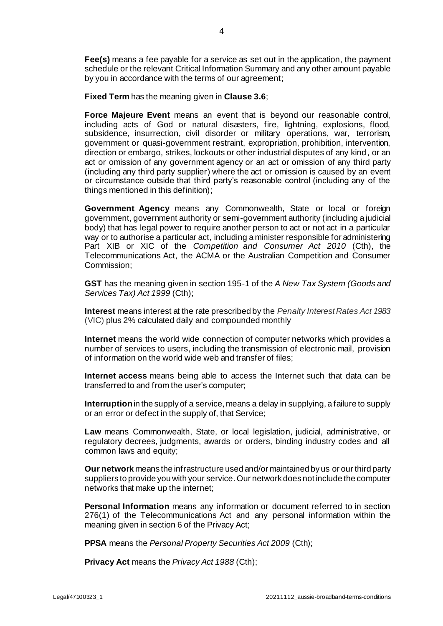**Fee(s)** means a fee payable for a service as set out in the application, the payment schedule or the relevant Critical Information Summary and any other amount payable by you in accordance with the terms of our agreement;

**Fixed Term** has the meaning given in **Claus[e 3.6](#page-10-0)**;

**Force Majeure Event** means an event that is beyond our reasonable control, including acts of God or natural disasters, fire, lightning, explosions, flood, subsidence, insurrection, civil disorder or military operations, war, terrorism, government or quasi-government restraint, expropriation, prohibition, intervention, direction or embargo, strikes, lockouts or other industrial disputes of any kind, or an act or omission of any government agency or an act or omission of any third party (including any third party supplier) where the act or omission is caused by an event or circumstance outside that third party's reasonable control (including any of the things mentioned in this definition);

**Government Agency** means any Commonwealth, State or local or foreign government, government authority or semi-government authority (including a judicial body) that has legal power to require another person to act or not act in a particular way or to authorise a particular act, including a minister responsible for administering Part XIB or XIC of the *Competition and Consumer Act 2010* (Cth), the Telecommunications Act, the ACMA or the Australian Competition and Consumer Commission;

**GST** has the meaning given in section 195-1 of the *A New Tax System (Goods and Services Tax) Act 1999* (Cth);

**Interest** means interest at the rate prescribed by the *Penalty Interest Rates Act 1983* (VIC) plus 2% calculated daily and compounded monthly

**Internet** means the world wide connection of computer networks which provides a number of services to users, including the transmission of electronic mail, provision of information on the world wide web and transfer of files;

**Internet access** means being able to access the Internet such that data can be transferred to and from the user's computer;

**Interruption** in the supply of a service, means a delay in supplying, a failure to supply or an error or defect in the supply of, that Service;

**Law** means Commonwealth, State, or local legislation, judicial, administrative, or regulatory decrees, judgments, awards or orders, binding industry codes and all common laws and equity;

**Our network** means the infrastructure used and/or maintained by us or our third party suppliers to provide you with your service.Our network does not include the computer networks that make up the internet;

**Personal Information** means any information or document referred to in section 276(1) of the Telecommunications Act and any personal information within the meaning given in section 6 of the Privacy Act;

**PPSA** means the *Personal Property Securities Act 2009* (Cth);

**Privacy Act** means the *Privacy Act 1988* (Cth);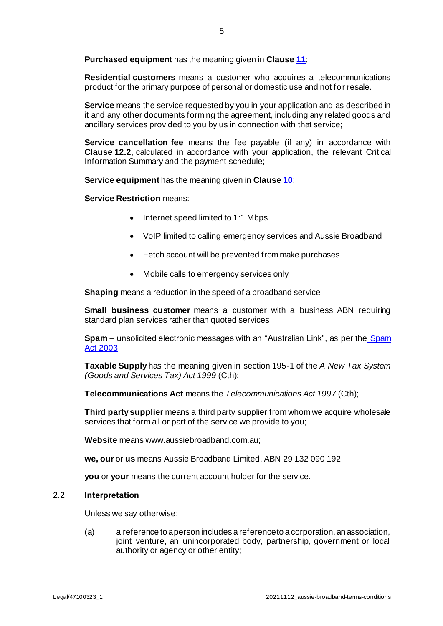**Purchased equipment** has the meaning given in **Clause [11](#page-25-0)**;

**Residential customers** means a customer who acquires a telecommunications product for the primary purpose of personal or domestic use and not for resale.

**Service** means the service requested by you in your application and as described in it and any other documents forming the agreement, including any related goods and ancillary services provided to you by us in connection with that service;

**Service cancellation fee** means the fee payable (if any) in accordance with **Clause [12.2](#page-27-0)**, calculated in accordance with your application, the relevant Critical Information Summary and the payment schedule;

**Service equipment** has the meaning given in **Clause [10](#page-23-0)**;

**Service Restriction** means:

- Internet speed limited to 1:1 Mbps
- VoIP limited to calling emergency services and Aussie Broadband
- Fetch account will be prevented from make purchases
- Mobile calls to emergency services only

**Shaping** means a reduction in the speed of a broadband service

**Small business customer** means a customer with a business ABN requiring standard plan services rather than quoted services

**Spam** – unsolicited electronic messages with an "Australian Link", as per the [Spam](https://www.legislation.gov.au/Series/C2004A01214)  [Act 2003](https://www.legislation.gov.au/Series/C2004A01214)

**Taxable Supply** has the meaning given in section 195-1 of the *A New Tax System (Goods and Services Tax) Act 1999* (Cth);

**Telecommunications Act** means the *Telecommunications Act 1997* (Cth);

**Third party supplier** means a third party supplier from whom we acquire wholesale services that form all or part of the service we provide to you;

**Website** means www.aussiebroadband.com.au;

**we, our** or **us** means Aussie Broadband Limited, ABN 29 132 090 192

**you** or **your** means the current account holder for the service.

#### 2.2 **Interpretation**

Unless we say otherwise:

(a) a reference to a person includes a reference to a corporation, an association, joint venture, an unincorporated body, partnership, government or local authority or agency or other entity;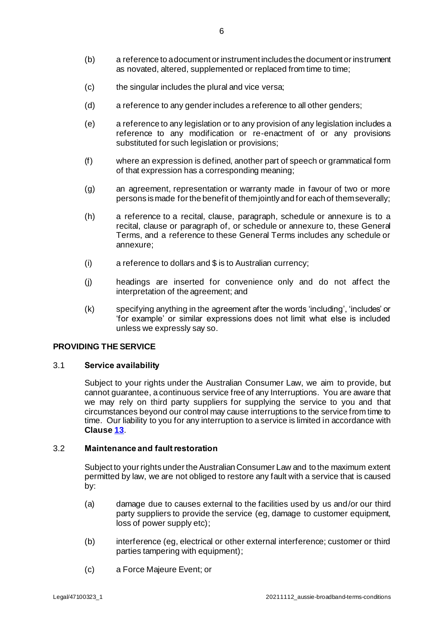- (b) a reference to a document or instrument includes the document or instrument as novated, altered, supplemented or replaced from time to time;
- (c) the singular includes the plural and vice versa;
- (d) a reference to any gender includes a reference to all other genders;
- (e) a reference to any legislation or to any provision of any legislation includes a reference to any modification or re-enactment of or any provisions substituted for such legislation or provisions;
- (f) where an expression is defined, another part of speech or grammatical form of that expression has a corresponding meaning;
- (g) an agreement, representation or warranty made in favour of two or more persons is made for the benefit of them jointly and for each of them severally;
- (h) a reference to a recital, clause, paragraph, schedule or annexure is to a recital, clause or paragraph of, or schedule or annexure to, these General Terms, and a reference to these General Terms includes any schedule or annexure;
- (i) a reference to dollars and \$ is to Australian currency;
- (j) headings are inserted for convenience only and do not affect the interpretation of the agreement; and
- (k) specifying anything in the agreement after the words 'including', 'includes' or 'for example' or similar expressions does not limit what else is included unless we expressly say so.

## **PROVIDING THE SERVICE**

#### 3.1 **Service availability**

Subject to your rights under the Australian Consumer Law, we aim to provide, but cannot guarantee, a continuous service free of any Interruptions. You are aware that we may rely on third party suppliers for supplying the service to you and that circumstances beyond our control may cause interruptions to the service from time to time. Our liability to you for any interruption to a service is limited in accordance with **Clause [13](#page-31-1)**.

#### 3.2 **Maintenance and fault restoration**

Subject to your rights under the Australian Consumer Law and to the maximum extent permitted by law, we are not obliged to restore any fault with a service that is caused by:

- (a) damage due to causes external to the facilities used by us and/or our third party suppliers to provide the service (eg, damage to customer equipment, loss of power supply etc);
- (b) interference (eg, electrical or other external interference; customer or third parties tampering with equipment);
- (c) a Force Majeure Event; or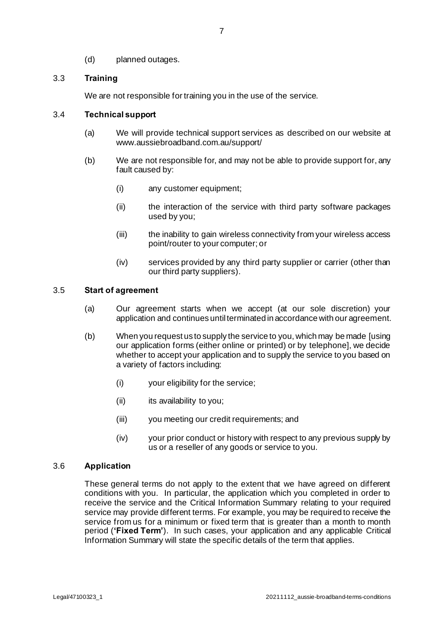(d) planned outages.

## 3.3 **Training**

We are not responsible for training you in the use of the service.

#### <span id="page-10-1"></span>3.4 **Technical support**

- (a) We will provide technical support services as described on our website at www.aussiebroadband.com.au/support/
- (b) We are not responsible for, and may not be able to provide support for, any fault caused by:
	- (i) any customer equipment;
	- (ii) the interaction of the service with third party software packages used by you;
	- (iii) the inability to gain wireless connectivity from your wireless access point/router to your computer; or
	- (iv) services provided by any third party supplier or carrier (other than our third party suppliers).

## 3.5 **Start of agreement**

- (a) Our agreement starts when we accept (at our sole discretion) your application and continues until terminated in accordance with our agreement.
- (b) When you request us to supply the service to you, which may be made [using our application forms (either online or printed) or by telephone], we decide whether to accept your application and to supply the service to you based on a variety of factors including:
	- (i) your eligibility for the service;
	- (ii) its availability to you;
	- (iii) you meeting our credit requirements; and
	- (iv) your prior conduct or history with respect to any previous supply by us or a reseller of any goods or service to you.

#### <span id="page-10-0"></span>3.6 **Application**

These general terms do not apply to the extent that we have agreed on different conditions with you. In particular, the application which you completed in order to receive the service and the Critical Information Summary relating to your required service may provide different terms. For example, you may be required to receive the service from us for a minimum or fixed term that is greater than a month to month period (**'Fixed Term'**). In such cases, your application and any applicable Critical Information Summary will state the specific details of the term that applies.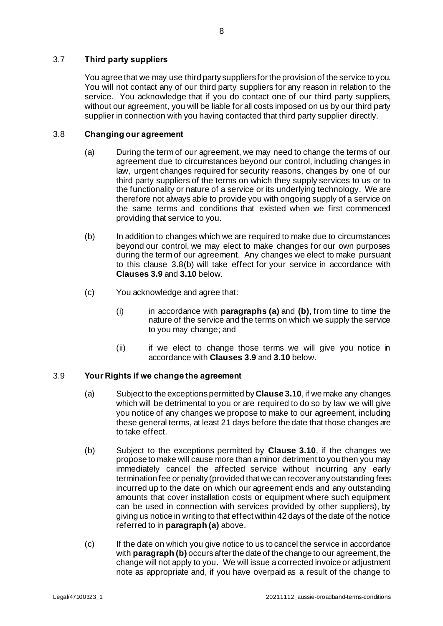## 3.7 **Third party suppliers**

You agree that we may use third party suppliers for the provision of the service to you. You will not contact any of our third party suppliers for any reason in relation to the service. You acknowledge that if you do contact one of our third party suppliers, without our agreement, you will be liable for all costs imposed on us by our third party supplier in connection with you having contacted that third party supplier directly.

## <span id="page-11-5"></span><span id="page-11-2"></span>3.8 **Changing our agreement**

- (a) During the term of our agreement, we may need to change the terms of our agreement due to circumstances beyond our control, including changes in law, urgent changes required for security reasons, changes by one of our third party suppliers of the terms on which they supply services to us or to the functionality or nature of a service or its underlying technology. We are therefore not always able to provide you with ongoing supply of a service on the same terms and conditions that existed when we first commenced providing that service to you.
- <span id="page-11-0"></span>(b) In addition to changes which we are required to make due to circumstances beyond our control, we may elect to make changes for our own purposes during the term of our agreement. Any changes we elect to make pursuant to this clause 3.[8\(b\)](#page-11-0) will take effect for your service in accordance with **Clause[s 3.9](#page-11-1)** and **[3.10](#page-12-0)** below.
- (c) You acknowledge and agree that:
	- (i) in accordance with **paragraph[s \(a\)](#page-11-2)** and **[\(b\)](#page-11-0)**, from time to time the nature of the service and the terms on which we supply the service to you may change; and
	- (ii) if we elect to change those terms we will give you notice in accordance with **Clause[s 3.9](#page-11-1)** and **[3.10](#page-12-0)** below.

## <span id="page-11-3"></span><span id="page-11-1"></span>3.9 **Your Rights if we change the agreement**

- (a) Subject to the exceptions permitted by **Claus[e 3.10](#page-12-0)**, if we make any changes which will be detrimental to you or are required to do so by law we will give you notice of any changes we propose to make to our agreement, including these general terms, at least 21 days before the date that those changes are to take effect.
- <span id="page-11-4"></span>(b) Subject to the exceptions permitted by **Clause [3.10](#page-12-0)**, if the changes we propose to make will cause more than a minor detriment to you then you may immediately cancel the affected service without incurring any early termination fee or penalty (provided that we can recover any outstanding fees incurred up to the date on which our agreement ends and any outstanding amounts that cover installation costs or equipment where such equipment can be used in connection with services provided by other suppliers), by giving us notice in writing to that effect within 42 days of the date of the notice referred to in **paragrap[h \(a\)](#page-11-3)** above.
- (c) If the date on which you give notice to us to cancel the service in accordance with **paragrap[h \(b\)](#page-11-4)** occurs after the date of the change to our agreement, the change will not apply to you. We will issue a corrected invoice or adjustment note as appropriate and, if you have overpaid as a result of the change to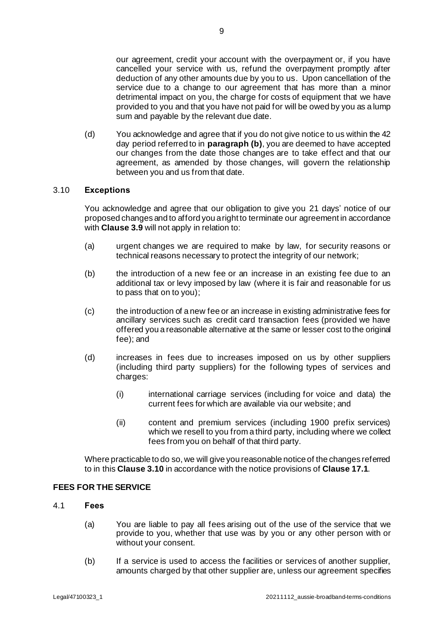our agreement, credit your account with the overpayment or, if you have cancelled your service with us, refund the overpayment promptly after deduction of any other amounts due by you to us. Upon cancellation of the service due to a change to our agreement that has more than a minor detrimental impact on you, the charge for costs of equipment that we have provided to you and that you have not paid for will be owed by you as a lump sum and payable by the relevant due date.

(d) You acknowledge and agree that if you do not give notice to us within the 42 day period referred to in **paragrap[h \(b\)](#page-11-4)**, you are deemed to have accepted our changes from the date those changes are to take effect and that our agreement, as amended by those changes, will govern the relationship between you and us from that date.

## <span id="page-12-0"></span>3.10 **Exceptions**

You acknowledge and agree that our obligation to give you 21 days' notice of our proposed changes and to afford you a right to terminate our agreement in accordance with **Claus[e 3.9](#page-11-1)** will not apply in relation to:

- (a) urgent changes we are required to make by law, for security reasons or technical reasons necessary to protect the integrity of our network;
- (b) the introduction of a new fee or an increase in an existing fee due to an additional tax or levy imposed by law (where it is fair and reasonable for us to pass that on to you);
- (c) the introduction of a new fee or an increase in existing administrative fees for ancillary services such as credit card transaction fees (provided we have offered you a reasonable alternative at the same or lesser cost to the original fee); and
- (d) increases in fees due to increases imposed on us by other suppliers (including third party suppliers) for the following types of services and charges:
	- (i) international carriage services (including for voice and data) the current fees for which are available via our website; and
	- (ii) content and premium services (including 1900 prefix services) which we resell to you from a third party, including where we collect fees from you on behalf of that third party.

Where practicable to do so, we will give you reasonable notice of the changes referred to in this **Claus[e 3.10](#page-12-0)** in accordance with the notice provisions of **Clause [17.1](#page-35-0)**.

## **FEES FOR THE SERVICE**

- 4.1 **Fees**
	- (a) You are liable to pay all fees arising out of the use of the service that we provide to you, whether that use was by you or any other person with or without your consent.
	- (b) If a service is used to access the facilities or services of another supplier, amounts charged by that other supplier are, unless our agreement specifies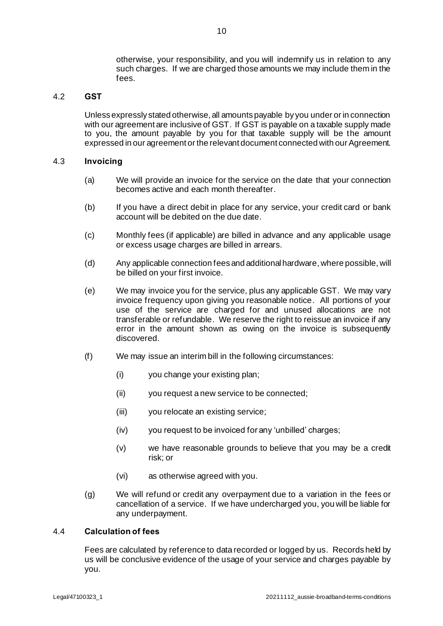otherwise, your responsibility, and you will indemnify us in relation to any such charges. If we are charged those amounts we may include them in the fees.

## 4.2 **GST**

Unless expressly stated otherwise, all amounts payable by you under or in connection with our agreement are inclusive of GST. If GST is payable on a taxable supply made to you, the amount payable by you for that taxable supply will be the amount expressed in our agreement or the relevant document connected with our Agreement.

## 4.3 **Invoicing**

- (a) We will provide an invoice for the service on the date that your connection becomes active and each month thereafter.
- (b) If you have a direct debit in place for any service, your credit card or bank account will be debited on the due date.
- (c) Monthly fees (if applicable) are billed in advance and any applicable usage or excess usage charges are billed in arrears.
- (d) Any applicable connection fees and additional hardware, where possible, will be billed on your first invoice.
- (e) We may invoice you for the service, plus any applicable GST. We may vary invoice frequency upon giving you reasonable notice. All portions of your use of the service are charged for and unused allocations are not transferable or refundable. We reserve the right to reissue an invoice if any error in the amount shown as owing on the invoice is subsequently discovered.
- (f) We may issue an interim bill in the following circumstances:
	- (i) you change your existing plan;
	- (ii) you request a new service to be connected;
	- (iii) you relocate an existing service;
	- (iv) you request to be invoiced for any 'unbilled' charges;
	- (v) we have reasonable grounds to believe that you may be a credit risk; or
	- (vi) as otherwise agreed with you.
- (g) We will refund or credit any overpayment due to a variation in the fees or cancellation of a service. If we have undercharged you, you will be liable for any underpayment.

#### 4.4 **Calculation of fees**

Fees are calculated by reference to data recorded or logged by us. Records held by us will be conclusive evidence of the usage of your service and charges payable by you.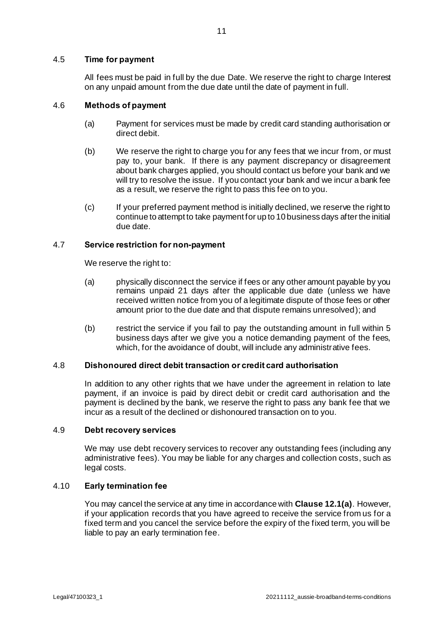## 4.5 **Time for payment**

All fees must be paid in full by the due Date. We reserve the right to charge Interest on any unpaid amount from the due date until the date of payment in full.

#### 4.6 **Methods of payment**

- (a) Payment for services must be made by credit card standing authorisation or direct debit.
- (b) We reserve the right to charge you for any fees that we incur from, or must pay to, your bank. If there is any payment discrepancy or disagreement about bank charges applied, you should contact us before your bank and we will try to resolve the issue. If you contact your bank and we incur a bank fee as a result, we reserve the right to pass this fee on to you.
- (c) If your preferred payment method is initially declined, we reserve the right to continue to attempt to take payment for up to 10 business days after the initial due date.

## <span id="page-14-1"></span>4.7 **Service restriction for non-payment**

We reserve the right to:

- (a) physically disconnect the service if fees or any other amount payable by you remains unpaid 21 days after the applicable due date (unless we have received written notice from you of a legitimate dispute of those fees or other amount prior to the due date and that dispute remains unresolved); and
- (b) restrict the service if you fail to pay the outstanding amount in full within 5 business days after we give you a notice demanding payment of the fees, which, for the avoidance of doubt, will include any administrative fees.

#### 4.8 **Dishonoured direct debit transaction or credit card authorisation**

In addition to any other rights that we have under the agreement in relation to late payment, if an invoice is paid by direct debit or credit card authorisation and the payment is declined by the bank, we reserve the right to pass any bank fee that we incur as a result of the declined or dishonoured transaction on to you.

#### 4.9 **Debt recovery services**

We may use debt recovery services to recover any outstanding fees (including any administrative fees). You may be liable for any charges and collection costs, such as legal costs.

## <span id="page-14-0"></span>4.10 **Early termination fee**

You may cancel the service at any time in accordance with **Clause [12.1\(a\)](#page-26-0)**. However, if your application records that you have agreed to receive the service from us for a fixed term and you cancel the service before the expiry of the fixed term, you will be liable to pay an early termination fee.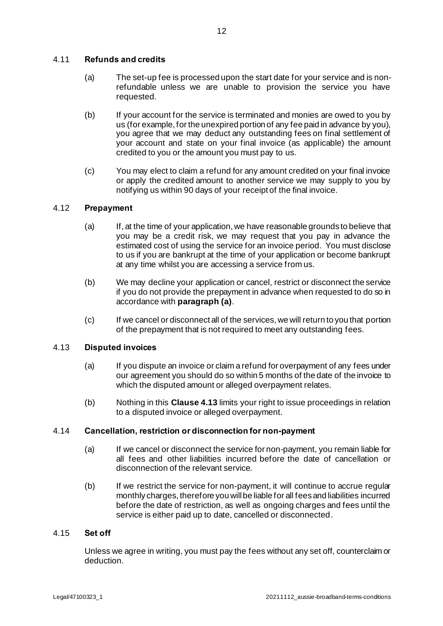## <span id="page-15-2"></span>4.11 **Refunds and credits**

- (a) The set-up fee is processed upon the start date for your service and is nonrefundable unless we are unable to provision the service you have requested.
- (b) If your account for the service is terminated and monies are owed to you by us (for example, for the unexpired portion of any fee paid in advance by you), you agree that we may deduct any outstanding fees on final settlement of your account and state on your final invoice (as applicable) the amount credited to you or the amount you must pay to us.
- (c) You may elect to claim a refund for any amount credited on your final invoice or apply the credited amount to another service we may supply to you by notifying us within 90 days of your receipt of the final invoice.

## <span id="page-15-3"></span><span id="page-15-0"></span>4.12 **Prepayment**

- (a) If, at the time of your application, we have reasonable grounds to believe that you may be a credit risk, we may request that you pay in advance the estimated cost of using the service for an invoice period. You must disclose to us if you are bankrupt at the time of your application or become bankrupt at any time whilst you are accessing a service from us.
- (b) We may decline your application or cancel, restrict or disconnect the service if you do not provide the prepayment in advance when requested to do so in accordance with **paragrap[h \(a\)](#page-15-0)**.
- (c) If we cancel or disconnect all of the services, we will return to you that portion of the prepayment that is not required to meet any outstanding fees.

## <span id="page-15-1"></span>4.13 **Disputed invoices**

- (a) If you dispute an invoice or claim a refund for overpayment of any fees under our agreement you should do so within 5 months of the date of the invoice to which the disputed amount or alleged overpayment relates.
- (b) Nothing in this **Claus[e 4.13](#page-15-1)** limits your right to issue proceedings in relation to a disputed invoice or alleged overpayment.

## 4.14 **Cancellation, restriction or disconnection for non-payment**

- (a) If we cancel or disconnect the service for non-payment, you remain liable for all fees and other liabilities incurred before the date of cancellation or disconnection of the relevant service.
- (b) If we restrict the service for non-payment, it will continue to accrue regular monthly charges, therefore you will be liable for all fees and liabilities incurred before the date of restriction, as well as ongoing charges and fees until the service is either paid up to date, cancelled or disconnected.

## 4.15 **Set off**

Unless we agree in writing, you must pay the fees without any set off, counterclaim or deduction.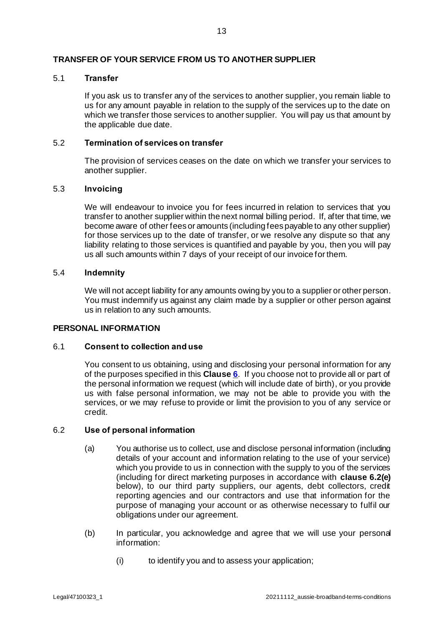## **TRANSFER OF YOUR SERVICE FROM US TO ANOTHER SUPPLIER**

## 5.1 **Transfer**

If you ask us to transfer any of the services to another supplier, you remain liable to us for any amount payable in relation to the supply of the services up to the date on which we transfer those services to another supplier. You will pay us that amount by the applicable due date.

## 5.2 **Termination of services on transfer**

The provision of services ceases on the date on which we transfer your services to another supplier.

## 5.3 **Invoicing**

We will endeavour to invoice you for fees incurred in relation to services that you transfer to another supplier within the next normal billing period. If, after that time, we become aware of other fees or amounts (including fees payable to any other supplier) for those services up to the date of transfer, or we resolve any dispute so that any liability relating to those services is quantified and payable by you, then you will pay us all such amounts within 7 days of your receipt of our invoice for them.

## 5.4 **Indemnity**

We will not accept liability for any amounts owing by you to a supplier or other person. You must indemnify us against any claim made by a supplier or other person against us in relation to any such amounts.

#### <span id="page-16-0"></span>**PERSONAL INFORMATION**

#### 6.1 **Consent to collection and use**

You consent to us obtaining, using and disclosing your personal information for any of the purposes specified in this **Clause [6](#page-16-0)**. If you choose not to provide all or part of the personal information we request (which will include date of birth), or you provide us with false personal information, we may not be able to provide you with the services, or we may refuse to provide or limit the provision to you of any service or credit.

#### <span id="page-16-1"></span>6.2 **Use of personal information**

- (a) You authorise us to collect, use and disclose personal information (including details of your account and information relating to the use of your service) which you provide to us in connection with the supply to you of the services (including for direct marketing purposes in accordance with **claus[e 6.2\(e\)](#page-18-0)** below), to our third party suppliers, our agents, debt collectors, credit reporting agencies and our contractors and use that information for the purpose of managing your account or as otherwise necessary to fulfil our obligations under our agreement.
- <span id="page-16-2"></span>(b) In particular, you acknowledge and agree that we will use your personal information:
	- (i) to identify you and to assess your application;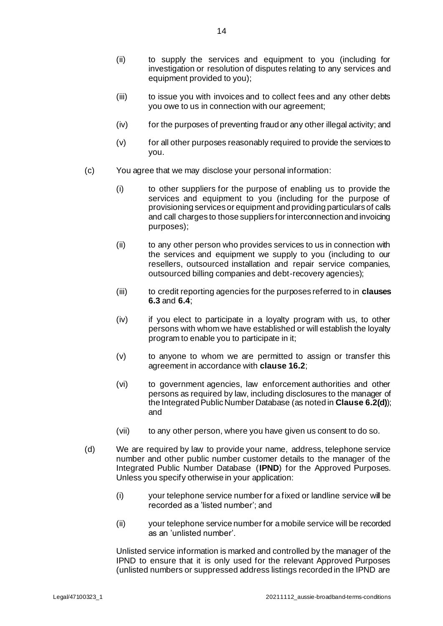- <span id="page-17-1"></span>(ii) to supply the services and equipment to you (including for investigation or resolution of disputes relating to any services and equipment provided to you);
- (iii) to issue you with invoices and to collect fees and any other debts you owe to us in connection with our agreement;
- (iv) for the purposes of preventing fraud or any other illegal activity; and
- (v) for all other purposes reasonably required to provide the services to you.
- (c) You agree that we may disclose your personal information:
	- (i) to other suppliers for the purpose of enabling us to provide the services and equipment to you (including for the purpose of provisioning services or equipment and providing particulars of calls and call charges to those suppliers for interconnection and invoicing purposes);
	- (ii) to any other person who provides services to us in connection with the services and equipment we supply to you (including to our resellers, outsourced installation and repair service companies, outsourced billing companies and debt-recovery agencies);
	- (iii) to credit reporting agencies for the purposes referred to in **clauses [6.3](#page-18-1)** and **[6.4](#page-19-0)**;
	- (iv) if you elect to participate in a loyalty program with us, to other persons with whom we have established or will establish the loyalty program to enable you to participate in it;
	- (v) to anyone to whom we are permitted to assign or transfer this agreement in accordance with **clause [16.2](#page-35-1)**;
	- (vi) to government agencies, law enforcement authorities and other persons as required by law, including disclosures to the manager of the Integrated Public Number Database (as noted in **Clause [6.2\(d\)](#page-17-0)**); and
	- (vii) to any other person, where you have given us consent to do so.
- <span id="page-17-0"></span>(d) We are required by law to provide your name, address, telephone service number and other public number customer details to the manager of the Integrated Public Number Database (**IPND**) for the Approved Purposes. Unless you specify otherwise in your application:
	- (i) your telephone service number for a fixed or landline service will be recorded as a 'listed number'; and
	- (ii) your telephone service number for a mobile service will be recorded as an 'unlisted number'.

Unlisted service information is marked and controlled by the manager of the IPND to ensure that it is only used for the relevant Approved Purposes (unlisted numbers or suppressed address listings recorded in the IPND are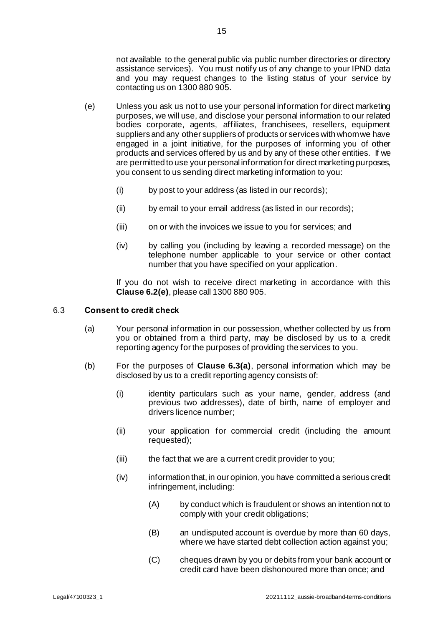not available to the general public via public number directories or directory assistance services). You must notify us of any change to your IPND data and you may request changes to the listing status of your service by contacting us on 1300 880 905.

- <span id="page-18-0"></span>(e) Unless you ask us not to use your personal information for direct marketing purposes, we will use, and disclose your personal information to our related bodies corporate, agents, affiliates, franchisees, resellers, equipment suppliers and any other suppliers of products or services with whom we have engaged in a joint initiative, for the purposes of informing you of other products and services offered by us and by any of these other entities. If we are permitted to use your personal information for direct marketing purposes, you consent to us sending direct marketing information to you:
	- (i) by post to your address (as listed in our records);
	- (ii) by email to your email address (as listed in our records);
	- (iii) on or with the invoices we issue to you for services; and
	- (iv) by calling you (including by leaving a recorded message) on the telephone number applicable to your service or other contact number that you have specified on your application.

If you do not wish to receive direct marketing in accordance with this **Clause [6.2](#page-16-1)[\(e\)](#page-18-0)**, please call 1300 880 905.

## <span id="page-18-2"></span><span id="page-18-1"></span>6.3 **Consent to credit check**

- (a) Your personal information in our possession, whether collected by us from you or obtained from a third party, may be disclosed by us to a credit reporting agency for the purposes of providing the services to you.
- (b) For the purposes of **Clause [6.3\(a\)](#page-18-2)**, personal information which may be disclosed by us to a credit reporting agency consists of:
	- (i) identity particulars such as your name, gender, address (and previous two addresses), date of birth, name of employer and drivers licence number;
	- (ii) your application for commercial credit (including the amount requested);
	- (iii) the fact that we are a current credit provider to you;
	- (iv) information that, in our opinion, you have committed a serious credit infringement, including:
		- (A) by conduct which is fraudulent or shows an intention not to comply with your credit obligations;
		- (B) an undisputed account is overdue by more than 60 days, where we have started debt collection action against you;
		- (C) cheques drawn by you or debits from your bank account or credit card have been dishonoured more than once; and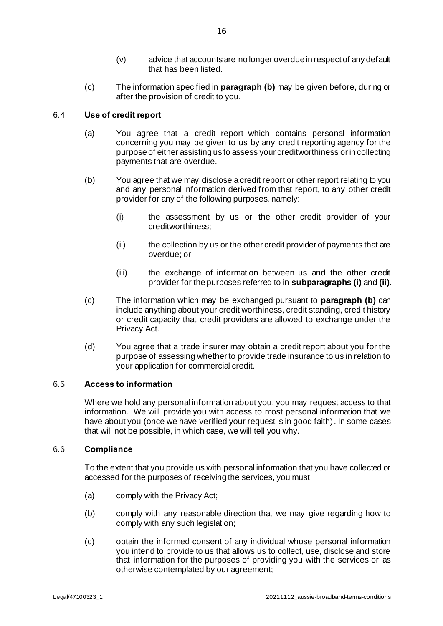- (v) advice that accounts are no longer overdue in respect of any default that has been listed.
- (c) The information specified in **paragraph [\(b\)](#page-19-1)** may be given before, during or after the provision of credit to you.

## <span id="page-19-0"></span>6.4 **Use of credit report**

- (a) You agree that a credit report which contains personal information concerning you may be given to us by any credit reporting agency for the purpose of either assisting us to assess your creditworthiness or in collecting payments that are overdue.
- <span id="page-19-1"></span>(b) You agree that we may disclose a credit report or other report relating to you and any personal information derived from that report, to any other credit provider for any of the following purposes, namely:
	- (i) the assessment by us or the other credit provider of your creditworthiness;
	- (ii) the collection by us or the other credit provider of payments that are overdue; or
	- (iii) the exchange of information between us and the other credit provider for the purposes referred to in **subparagraph[s \(i\)](#page-16-2)** and **[\(ii\)](#page-17-1)**.
- (c) The information which may be exchanged pursuant to **paragrap[h \(b\)](#page-19-1)** can include anything about your credit worthiness, credit standing, credit history or credit capacity that credit providers are allowed to exchange under the Privacy Act.
- (d) You agree that a trade insurer may obtain a credit report about you for the purpose of assessing whether to provide trade insurance to us in relation to your application for commercial credit.

#### 6.5 **Access to information**

Where we hold any personal information about you, you may request access to that information. We will provide you with access to most personal information that we have about you (once we have verified your request is in good faith). In some cases that will not be possible, in which case, we will tell you why.

#### <span id="page-19-2"></span>6.6 **Compliance**

To the extent that you provide us with personal information that you have collected or accessed for the purposes of receiving the services, you must:

- (a) comply with the Privacy Act;
- (b) comply with any reasonable direction that we may give regarding how to comply with any such legislation;
- (c) obtain the informed consent of any individual whose personal information you intend to provide to us that allows us to collect, use, disclose and store that information for the purposes of providing you with the services or as otherwise contemplated by our agreement;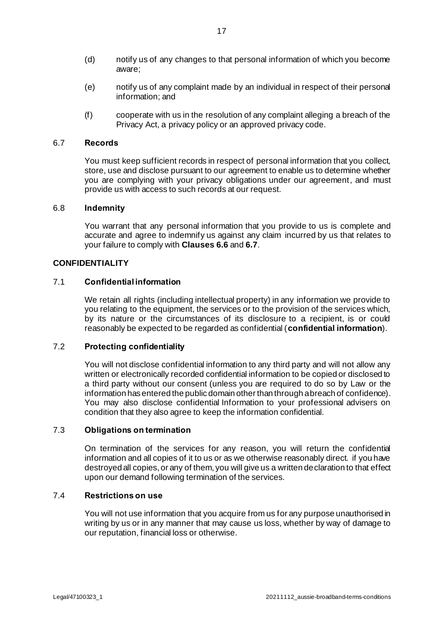- (d) notify us of any changes to that personal information of which you become aware;
- (e) notify us of any complaint made by an individual in respect of their personal information; and
- (f) cooperate with us in the resolution of any complaint alleging a breach of the Privacy Act, a privacy policy or an approved privacy code.

## <span id="page-20-0"></span>6.7 **Records**

You must keep sufficient records in respect of personal information that you collect, store, use and disclose pursuant to our agreement to enable us to determine whether you are complying with your privacy obligations under our agreement, and must provide us with access to such records at our request.

#### 6.8 **Indemnity**

You warrant that any personal information that you provide to us is complete and accurate and agree to indemnify us against any claim incurred by us that relates to your failure to comply with **Clause[s 6.6](#page-19-2)** and **[6.7](#page-20-0)**.

## **CONFIDENTIALITY**

## 7.1 **Confidential information**

We retain all rights (including intellectual property) in any information we provide to you relating to the equipment, the services or to the provision of the services which, by its nature or the circumstances of its disclosure to a recipient, is or could reasonably be expected to be regarded as confidential (**confidential information**).

## 7.2 **Protecting confidentiality**

You will not disclose confidential information to any third party and will not allow any written or electronically recorded confidential information to be copied or disclosed to a third party without our consent (unless you are required to do so by Law or the information has entered the public domain other than through a breach of confidence). You may also disclose confidential Information to your professional advisers on condition that they also agree to keep the information confidential.

## 7.3 **Obligations on termination**

On termination of the services for any reason, you will return the confidential information and all copies of it to us or as we otherwise reasonably direct. if you have destroyed all copies, or any of them, you will give us a written declaration to that effect upon our demand following termination of the services.

#### 7.4 **Restrictions on use**

You will not use information that you acquire from us for any purpose unauthorised in writing by us or in any manner that may cause us loss, whether by way of damage to our reputation, financial loss or otherwise.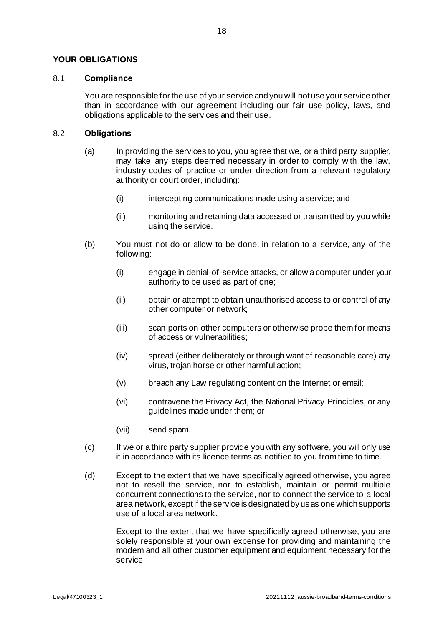## **YOUR OBLIGATIONS**

#### 8.1 **Compliance**

You are responsible for the use of your service and you will not use your service other than in accordance with our agreement including our fair use policy, laws, and obligations applicable to the services and their use.

#### 8.2 **Obligations**

- (a) In providing the services to you, you agree that we, or a third party supplier, may take any steps deemed necessary in order to comply with the law, industry codes of practice or under direction from a relevant regulatory authority or court order, including:
	- (i) intercepting communications made using a service; and
	- (ii) monitoring and retaining data accessed or transmitted by you while using the service.
- (b) You must not do or allow to be done, in relation to a service, any of the following:
	- (i) engage in denial-of-service attacks, or allow a computer under your authority to be used as part of one;
	- (ii) obtain or attempt to obtain unauthorised access to or control of any other computer or network;
	- (iii) scan ports on other computers or otherwise probe them for means of access or vulnerabilities;
	- (iv) spread (either deliberately or through want of reasonable care) any virus, trojan horse or other harmful action;
	- (v) breach any Law regulating content on the Internet or email;
	- (vi) contravene the Privacy Act, the National Privacy Principles, or any guidelines made under them; or
	- (vii) send spam.
- (c) If we or a third party supplier provide you with any software, you will only use it in accordance with its licence terms as notified to you from time to time.
- (d) Except to the extent that we have specifically agreed otherwise, you agree not to resell the service, nor to establish, maintain or permit multiple concurrent connections to the service, nor to connect the service to a local area network, except if the service is designated by us as one which supports use of a local area network.

Except to the extent that we have specifically agreed otherwise, you are solely responsible at your own expense for providing and maintaining the modem and all other customer equipment and equipment necessary for the service.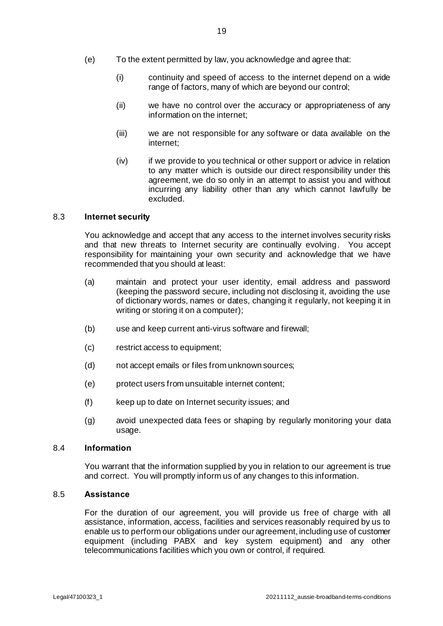- (e) To the extent permitted by law, you acknowledge and agree that:
	- (i) continuity and speed of access to the internet depend on a wide range of factors, many of which are beyond our control;
	- (ii) we have no control over the accuracy or appropriateness of any information on the internet;
	- (iii) we are not responsible for any software or data available on the internet;
	- (iv) if we provide to you technical or other support or advice in relation to any matter which is outside our direct responsibility under this agreement, we do so only in an attempt to assist you and without incurring any liability other than any which cannot lawfully be excluded.

## 8.3 **Internet security**

You acknowledge and accept that any access to the internet involves security risks and that new threats to Internet security are continually evolving. You accept responsibility for maintaining your own security and acknowledge that we have recommended that you should at least:

- (a) maintain and protect your user identity, email address and password (keeping the password secure, including not disclosing it, avoiding the use of dictionary words, names or dates, changing it regularly, not keeping it in writing or storing it on a computer);
- (b) use and keep current anti-virus software and firewall;
- (c) restrict access to equipment;
- (d) not accept emails or files from unknown sources;
- (e) protect users from unsuitable internet content;
- (f) keep up to date on Internet security issues; and
- (g) avoid unexpected data fees or shaping by regularly monitoring your data usage.

#### 8.4 **Information**

You warrant that the information supplied by you in relation to our agreement is true and correct. You will promptly inform us of any changes to this information.

#### 8.5 **Assistance**

For the duration of our agreement, you will provide us free of charge with all assistance, information, access, facilities and services reasonably required by us to enable us to perform our obligations under our agreement, including use of customer equipment (including PABX and key system equipment) and any other telecommunications facilities which you own or control, if required.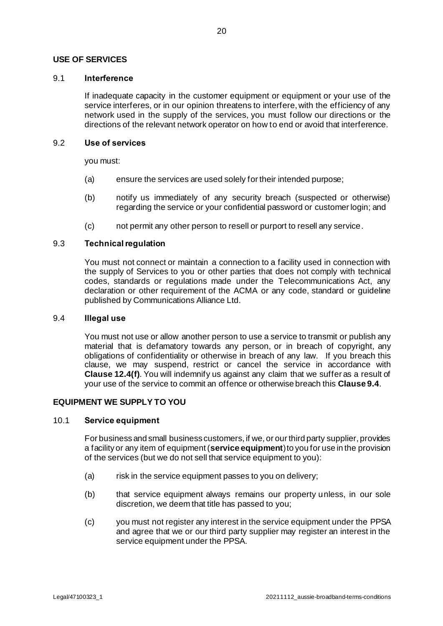## **USE OF SERVICES**

## 9.1 **Interference**

If inadequate capacity in the customer equipment or equipment or your use of the service interferes, or in our opinion threatens to interfere, with the efficiency of any network used in the supply of the services, you must follow our directions or the directions of the relevant network operator on how to end or avoid that interference.

## 9.2 **Use of services**

you must:

- (a) ensure the services are used solely for their intended purpose;
- (b) notify us immediately of any security breach (suspected or otherwise) regarding the service or your confidential password or customer login; and
- (c) not permit any other person to resell or purport to resell any service.

## 9.3 **Technical regulation**

You must not connect or maintain a connection to a facility used in connection with the supply of Services to you or other parties that does not comply with technical codes, standards or regulations made under the Telecommunications Act, any declaration or other requirement of the ACMA or any code, standard or guideline published by Communications Alliance Ltd.

#### <span id="page-23-1"></span>9.4 **Illegal use**

You must not use or allow another person to use a service to transmit or publish any material that is defamatory towards any person, or in breach of copyright, any obligations of confidentiality or otherwise in breach of any law. If you breach this clause, we may suspend, restrict or cancel the service in accordance with **Clause [12.4\(f\)](#page-28-0)**. You will indemnify us against any claim that we suffer as a result of your use of the service to commit an offence or otherwise breach this **Claus[e 9.4](#page-23-1)**.

## <span id="page-23-0"></span>**EQUIPMENT WE SUPPLY TO YOU**

## 10.1 **Service equipment**

For business and small business customers, if we, or our third party supplier, provides a facility or any item of equipment (**service equipment**) to you for use in the provision of the services (but we do not sell that service equipment to you):

- (a) risk in the service equipment passes to you on delivery;
- (b) that service equipment always remains our property unless, in our sole discretion, we deem that title has passed to you;
- (c) you must not register any interest in the service equipment under the PPSA and agree that we or our third party supplier may register an interest in the service equipment under the PPSA.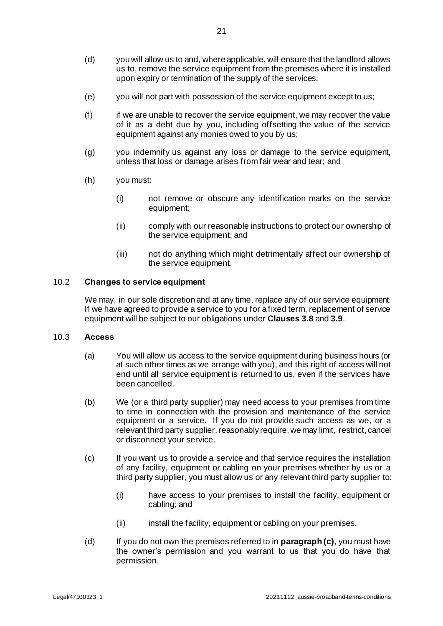- (d) you will allow us to and, where applicable, will ensure that the landlord allows us to, remove the service equipment from the premises where it is installed upon expiry or termination of the supply of the services;
- (e) you will not part with possession of the service equipment except to us;
- (f) if we are unable to recover the service equipment, we may recover the value of it as a debt due by you, including offsetting the value of the service equipment against any monies owed to you by us;
- (g) you indemnify us against any loss or damage to the service equipment, unless that loss or damage arises from fair wear and tear; and
- (h) you must:
	- (i) not remove or obscure any identification marks on the service equipment;
	- (ii) comply with our reasonable instructions to protect our ownership of the service equipment; and
	- (iii) not do anything which might detrimentally affect our ownership of the service equipment.

## 10.2 **Changes to service equipment**

We may, in our sole discretion and at any time, replace any of our service equipment. If we have agreed to provide a service to you for a fixed term, replacement of service equipment will be subject to our obligations under **Clauses [3.8](#page-11-5)** and **[3.9](#page-11-1)**.

## 10.3 **Access**

- (a) You will allow us access to the service equipment during business hours (or at such other times as we arrange with you), and this right of access will not end until all service equipment is returned to us, even if the services have been cancelled.
- (b) We (or a third party supplier) may need access to your premises from time to time in connection with the provision and maintenance of the service equipment or a service. If you do not provide such access as we, or a relevant third party supplier, reasonably require, we may limit, restrict, cancel or disconnect your service.
- (c) If you want us to provide a service and that service requires the installation of any facility, equipment or cabling on your premises whether by us or a third party supplier, you must allow us or any relevant third party supplier to:
	- (i) have access to your premises to install the facility, equipment or cabling; and
	- (ii) install the facility, equipment or cabling on your premises.
- (d) If you do not own the premises referred to in **paragraph (c)**, you must have the owner's permission and you warrant to us that you do have that permission.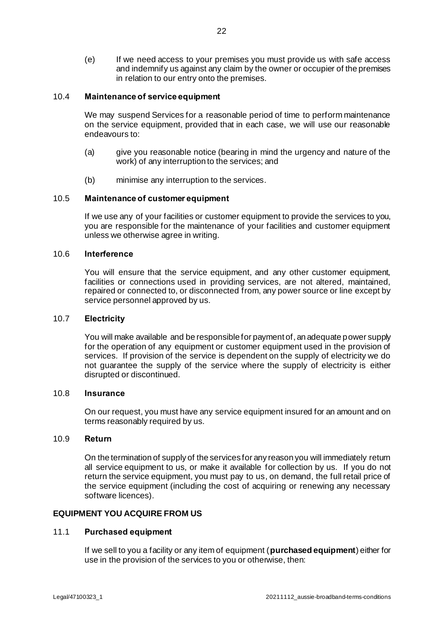(e) If we need access to your premises you must provide us with safe access and indemnify us against any claim by the owner or occupier of the premises in relation to our entry onto the premises.

#### <span id="page-25-1"></span>10.4 **Maintenance of service equipment**

We may suspend Services for a reasonable period of time to perform maintenance on the service equipment, provided that in each case, we will use our reasonable endeavours to:

- (a) give you reasonable notice (bearing in mind the urgency and nature of the work) of any interruption to the services; and
- (b) minimise any interruption to the services.

## 10.5 **Maintenance of customer equipment**

If we use any of your facilities or customer equipment to provide the services to you, you are responsible for the maintenance of your facilities and customer equipment unless we otherwise agree in writing.

#### 10.6 **Interference**

You will ensure that the service equipment, and any other customer equipment, facilities or connections used in providing services, are not altered, maintained, repaired or connected to, or disconnected from, any power source or line except by service personnel approved by us.

#### 10.7 **Electricity**

You will make available and be responsible for payment of, an adequate power supply for the operation of any equipment or customer equipment used in the provision of services. If provision of the service is dependent on the supply of electricity we do not guarantee the supply of the service where the supply of electricity is either disrupted or discontinued.

#### 10.8 **Insurance**

On our request, you must have any service equipment insured for an amount and on terms reasonably required by us.

## 10.9 **Return**

On the termination of supply of the services for any reason you will immediately return all service equipment to us, or make it available for collection by us. If you do not return the service equipment, you must pay to us, on demand, the full retail price of the service equipment (including the cost of acquiring or renewing any necessary software licences).

#### **EQUIPMENT YOU ACQUIRE FROM US**

#### 11.1 **Purchased equipment**

<span id="page-25-0"></span>If we sell to you a facility or any item of equipment (**purchased equipment**) either for use in the provision of the services to you or otherwise, then: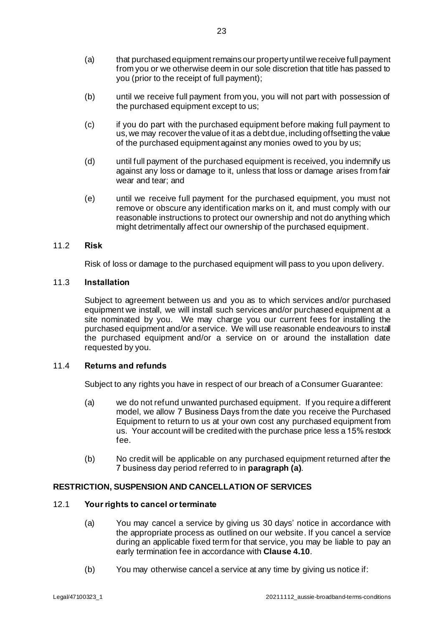- (a) that purchased equipment remains our property until we receive full payment from you or we otherwise deem in our sole discretion that title has passed to you (prior to the receipt of full payment);
- (b) until we receive full payment from you, you will not part with possession of the purchased equipment except to us;
- (c) if you do part with the purchased equipment before making full payment to us, we may recover the value of it as a debt due, including offsetting the value of the purchased equipment against any monies owed to you by us;
- (d) until full payment of the purchased equipment is received, you indemnify us against any loss or damage to it, unless that loss or damage arises from fair wear and tear; and
- (e) until we receive full payment for the purchased equipment, you must not remove or obscure any identification marks on it, and must comply with our reasonable instructions to protect our ownership and not do anything which might detrimentally affect our ownership of the purchased equipment.

## 11.2 **Risk**

Risk of loss or damage to the purchased equipment will pass to you upon delivery.

## 11.3 **Installation**

Subject to agreement between us and you as to which services and/or purchased equipment we install, we will install such services and/or purchased equipment at a site nominated by you. We may charge you our current fees for installing the purchased equipment and/or a service. We will use reasonable endeavours to install the purchased equipment and/or a service on or around the installation date requested by you.

## 11.4 **Returns and refunds**

Subject to any rights you have in respect of our breach of a Consumer Guarantee:

- <span id="page-26-1"></span>(a) we do not refund unwanted purchased equipment. If you require a different model, we allow 7 Business Days from the date you receive the Purchased Equipment to return to us at your own cost any purchased equipment from us. Your account will be credited with the purchase price less a 15% restock fee.
- (b) No credit will be applicable on any purchased equipment returned after the 7 business day period referred to in **paragraph [\(a\)](#page-26-1)**.

## **RESTRICTION, SUSPENSION AND CANCELLATION OF SERVICES**

## <span id="page-26-2"></span><span id="page-26-0"></span>12.1 **Yourrights to cancel or terminate**

- (a) You may cancel a service by giving us 30 days' notice in accordance with the appropriate process as outlined on our website. If you cancel a service during an applicable fixed term for that service, you may be liable to pay an early termination fee in accordance with **Claus[e 4.10](#page-14-0)**.
- (b) You may otherwise cancel a service at any time by giving us notice if: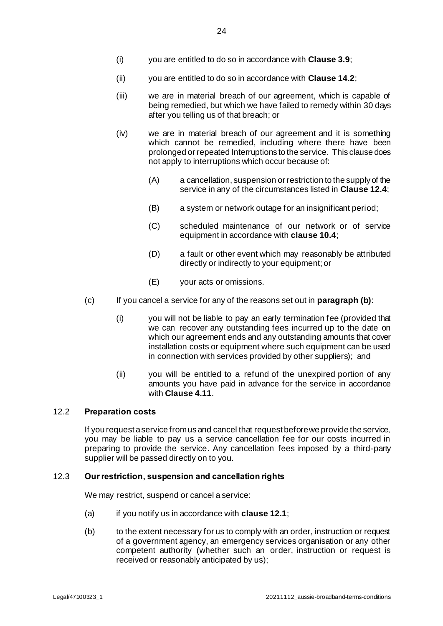- (i) you are entitled to do so in accordance with **Claus[e 3.9](#page-11-1)**;
- (ii) you are entitled to do so in accordance with **Claus[e 14.2](#page-34-0)**;
- (iii) we are in material breach of our agreement, which is capable of being remedied, but which we have failed to remedy within 30 days after you telling us of that breach; or
- (iv) we are in material breach of our agreement and it is something which cannot be remedied, including where there have been prolonged or repeated Interruptions to the service. This clause does not apply to interruptions which occur because of:
	- (A) a cancellation, suspension or restriction to the supply of the service in any of the circumstances listed in **Clause [12.4](#page-28-1)**;
	- (B) a system or network outage for an insignificant period;
	- (C) scheduled maintenance of our network or of service equipment in accordance with **claus[e 10.4](#page-25-1)**;
	- (D) a fault or other event which may reasonably be attributed directly or indirectly to your equipment; or
	- (E) your acts or omissions.
- (c) If you cancel a service for any of the reasons set out in **paragraph (b)**:
	- (i) you will not be liable to pay an early termination fee (provided that we can recover any outstanding fees incurred up to the date on which our agreement ends and any outstanding amounts that cover installation costs or equipment where such equipment can be used in connection with services provided by other suppliers); and
	- (ii) you will be entitled to a refund of the unexpired portion of any amounts you have paid in advance for the service in accordance with **Clause [4.11](#page-15-2)**.

## <span id="page-27-0"></span>12.2 **Preparation costs**

If you request a service from us and cancel that request before we provide the service, you may be liable to pay us a service cancellation fee for our costs incurred in preparing to provide the service. Any cancellation fees imposed by a third-party supplier will be passed directly on to you.

## <span id="page-27-1"></span>12.3 **Our restriction, suspension and cancellation rights**

We may restrict, suspend or cancel a service:

- (a) if you notify us in accordance with **claus[e 12.1](#page-26-2)**;
- (b) to the extent necessary for us to comply with an order, instruction or request of a government agency, an emergency services organisation or any other competent authority (whether such an order, instruction or request is received or reasonably anticipated by us);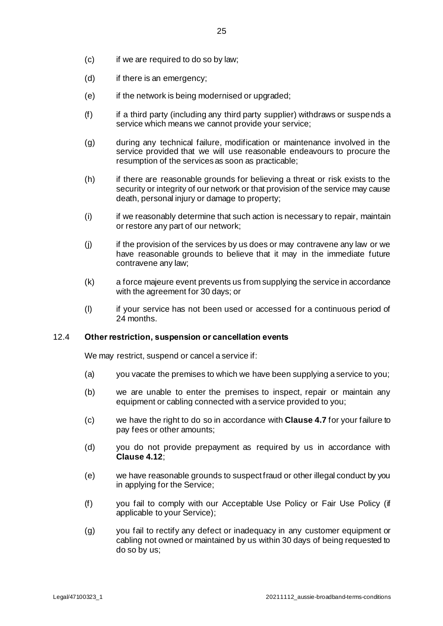- (c) if we are required to do so by law;
- (d) if there is an emergency;
- (e) if the network is being modernised or upgraded;
- (f) if a third party (including any third party supplier) withdraws or suspends a service which means we cannot provide your service;
- (g) during any technical failure, modification or maintenance involved in the service provided that we will use reasonable endeavours to procure the resumption of the services as soon as practicable;
- (h) if there are reasonable grounds for believing a threat or risk exists to the security or integrity of our network or that provision of the service may cause death, personal injury or damage to property;
- (i) if we reasonably determine that such action is necessary to repair, maintain or restore any part of our network;
- (j) if the provision of the services by us does or may contravene any law or we have reasonable grounds to believe that it may in the immediate future contravene any law;
- (k) a force majeure event prevents us from supplying the service in accordance with the agreement for 30 days; or
- (l) if your service has not been used or accessed for a continuous period of 24 months.

## <span id="page-28-1"></span>12.4 **Other restriction, suspension or cancellation events**

We may restrict, suspend or cancel a service if:

- (a) you vacate the premises to which we have been supplying a service to you;
- (b) we are unable to enter the premises to inspect, repair or maintain any equipment or cabling connected with a service provided to you;
- (c) we have the right to do so in accordance with **Claus[e 4.7](#page-14-1)** for your failure to pay fees or other amounts;
- (d) you do not provide prepayment as required by us in accordance with **Clause [4.12](#page-15-3)**;
- (e) we have reasonable grounds to suspect fraud or other illegal conduct by you in applying for the Service;
- <span id="page-28-0"></span>(f) you fail to comply with our Acceptable Use Policy or Fair Use Policy (if applicable to your Service);
- (g) you fail to rectify any defect or inadequacy in any customer equipment or cabling not owned or maintained by us within 30 days of being requested to do so by us;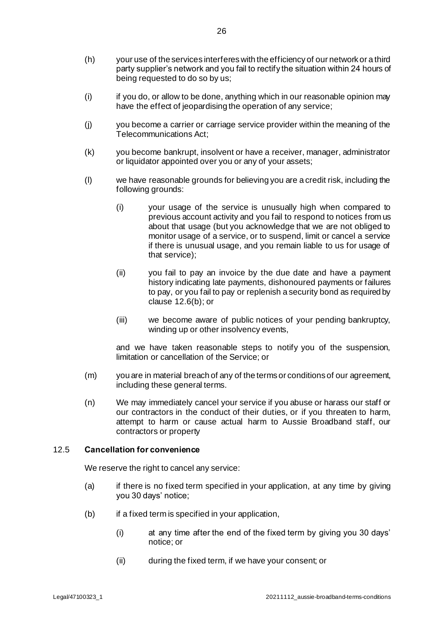- (h) your use of the services interferes with the efficiency of our network or a third party supplier's network and you fail to rectify the situation within 24 hours of being requested to do so by us;
- (i) if you do, or allow to be done, anything which in our reasonable opinion may have the effect of jeopardising the operation of any service;
- (j) you become a carrier or carriage service provider within the meaning of the Telecommunications Act;
- (k) you become bankrupt, insolvent or have a receiver, manager, administrator or liquidator appointed over you or any of your assets;
- (l) we have reasonable grounds for believing you are a credit risk, including the following grounds:
	- (i) your usage of the service is unusually high when compared to previous account activity and you fail to respond to notices from us about that usage (but you acknowledge that we are not obliged to monitor usage of a service, or to suspend, limit or cancel a service if there is unusual usage, and you remain liable to us for usage of that service);
	- (ii) you fail to pay an invoice by the due date and have a payment history indicating late payments, dishonoured payments or failures to pay, or you fail to pay or replenish a security bond as required by claus[e 12.6\(b\)](#page-30-0); or
	- (iii) we become aware of public notices of your pending bankruptcy, winding up or other insolvency events,

and we have taken reasonable steps to notify you of the suspension, limitation or cancellation of the Service; or

- (m) you are in material breach of any of the terms or conditions of our agreement, including these general terms.
- (n) We may immediately cancel your service if you abuse or harass our staff or our contractors in the conduct of their duties, or if you threaten to harm, attempt to harm or cause actual harm to Aussie Broadband staff, our contractors or property

#### <span id="page-29-0"></span>12.5 **Cancellation for convenience**

We reserve the right to cancel any service:

- (a) if there is no fixed term specified in your application, at any time by giving you 30 days' notice;
- (b) if a fixed term is specified in your application,
	- (i) at any time after the end of the fixed term by giving you 30 days' notice; or
	- (ii) during the fixed term, if we have your consent; or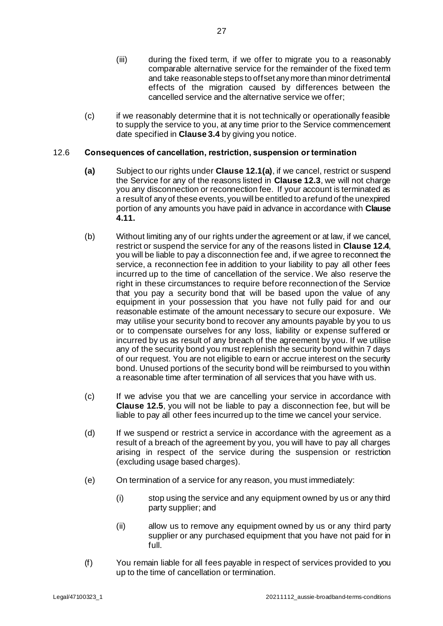- (iii) during the fixed term, if we offer to migrate you to a reasonably comparable alternative service for the remainder of the fixed term and take reasonable steps to offset any more than minor detrimental effects of the migration caused by differences between the cancelled service and the alternative service we offer;
- (c) if we reasonably determine that it is not technically or operationally feasible to supply the service to you, at any time prior to the Service commencement date specified in **Claus[e 3.4](#page-10-1)** by giving you notice.

## 12.6 **Consequences of cancellation, restriction, suspension or termination**

- **(a)** Subject to our rights under **Claus[e 12.1\(a\)](#page-26-0)**, if we cancel, restrict or suspend the Service for any of the reasons listed in **Claus[e 12.3](#page-27-1)**, we will not charge you any disconnection or reconnection fee. If your account is terminated as a result of any of these events, you will be entitled to a refund of the unexpired portion of any amounts you have paid in advance in accordance with **Clause [4.11.](#page-15-2)**
- <span id="page-30-0"></span>(b) Without limiting any of our rights under the agreement or at law, if we cancel, restrict or suspend the service for any of the reasons listed in **Clause [12.4](#page-28-1)**, you will be liable to pay a disconnection fee and, if we agree to reconnect the service, a reconnection fee in addition to your liability to pay all other fees incurred up to the time of cancellation of the service. We also reserve the right in these circumstances to require before reconnection of the Service that you pay a security bond that will be based upon the value of any equipment in your possession that you have not fully paid for and our reasonable estimate of the amount necessary to secure our exposure. We may utilise your security bond to recover any amounts payable by you to us or to compensate ourselves for any loss, liability or expense suffered or incurred by us as result of any breach of the agreement by you. If we utilise any of the security bond you must replenish the security bond within 7 days of our request. You are not eligible to earn or accrue interest on the security bond. Unused portions of the security bond will be reimbursed to you within a reasonable time after termination of all services that you have with us.
- (c) If we advise you that we are cancelling your service in accordance with **Clause [12.5](#page-29-0)**, you will not be liable to pay a disconnection fee, but will be liable to pay all other fees incurred up to the time we cancel your service.
- (d) If we suspend or restrict a service in accordance with the agreement as a result of a breach of the agreement by you, you will have to pay all charges arising in respect of the service during the suspension or restriction (excluding usage based charges).
- (e) On termination of a service for any reason, you must immediately:
	- (i) stop using the service and any equipment owned by us or any third party supplier; and
	- (ii) allow us to remove any equipment owned by us or any third party supplier or any purchased equipment that you have not paid for in full.
- (f) You remain liable for all fees payable in respect of services provided to you up to the time of cancellation or termination.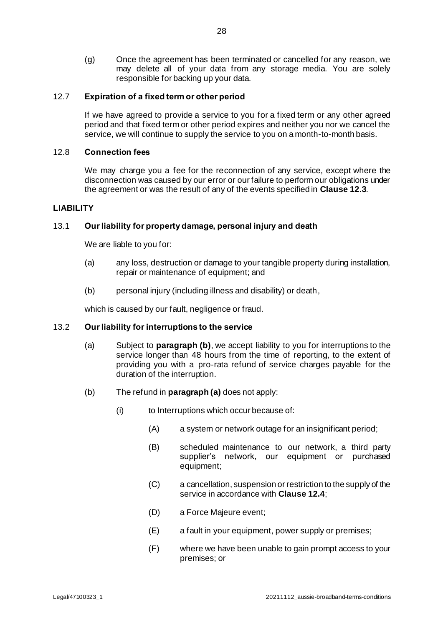(g) Once the agreement has been terminated or cancelled for any reason, we may delete all of your data from any storage media. You are solely responsible for backing up your data.

## 12.7 **Expiration of a fixed term or other period**

If we have agreed to provide a service to you for a fixed term or any other agreed period and that fixed term or other period expires and neither you nor we cancel the service, we will continue to supply the service to you on a month-to-month basis.

#### 12.8 **Connection fees**

We may charge you a fee for the reconnection of any service, except where the disconnection was caused by our error or our failure to perform our obligations under the agreement or was the result of any of the events specified in **Clause [12.3](#page-27-1)**.

#### <span id="page-31-1"></span>**LIABILITY**

## 13.1 **Our liability for property damage, personal injury and death**

We are liable to you for:

- (a) any loss, destruction or damage to your tangible property during installation, repair or maintenance of equipment; and
- (b) personal injury (including illness and disability) or death,

which is caused by our fault, negligence or fraud.

#### <span id="page-31-3"></span><span id="page-31-0"></span>13.2 **Our liability for interruptions to the service**

- (a) Subject to **paragrap[h \(b\)](#page-31-2)**, we accept liability to you for interruptions to the service longer than 48 hours from the time of reporting, to the extent of providing you with a pro-rata refund of service charges payable for the duration of the interruption.
- <span id="page-31-2"></span>(b) The refund in **paragrap[h \(a\)](#page-31-3)** does not apply:
	- (i) to Interruptions which occur because of:
		- (A) a system or network outage for an insignificant period;
		- (B) scheduled maintenance to our network, a third party supplier's network, our equipment or purchased equipment;
		- (C) a cancellation, suspension or restriction to the supply of the service in accordance with **Claus[e 12.4](#page-28-1)**;
		- (D) a Force Majeure event;
		- (E) a fault in your equipment, power supply or premises;
		- (F) where we have been unable to gain prompt access to your premises; or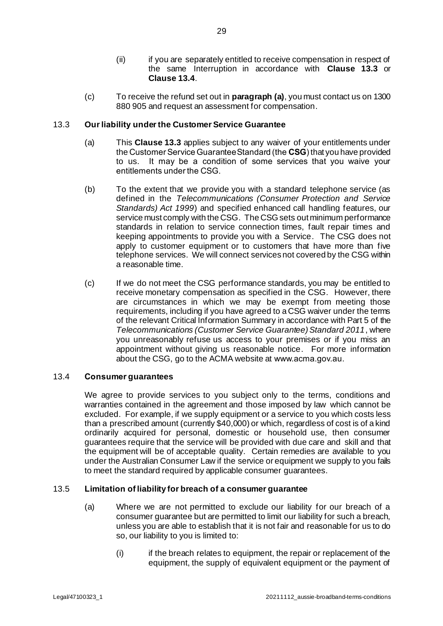- (ii) if you are separately entitled to receive compensation in respect of the same Interruption in accordance with **Clause [13.3](#page-32-1)** or **Clause [13.4](#page-32-0)**.
- (c) To receive the refund set out in **paragrap[h \(a\)](#page-31-3)**, you must contact us on 1300 880 905 and request an assessment for compensation.

## <span id="page-32-1"></span>13.3 **Our liability under the Customer Service Guarantee**

- (a) This **Clause [13.3](#page-32-1)** applies subject to any waiver of your entitlements under the Customer Service Guarantee Standard (the **CSG**) that you have provided to us. It may be a condition of some services that you waive your entitlements under the CSG.
- (b) To the extent that we provide you with a standard telephone service (as defined in the *Telecommunications (Consumer Protection and Service Standards) Act 1999*) and specified enhanced call handling features, our service must comply with the CSG. The CSG sets out minimum performance standards in relation to service connection times, fault repair times and keeping appointments to provide you with a Service. The CSG does not apply to customer equipment or to customers that have more than five telephone services. We will connect services not covered by the CSG within a reasonable time.
- (c) If we do not meet the CSG performance standards, you may be entitled to receive monetary compensation as specified in the CSG. However, there are circumstances in which we may be exempt from meeting those requirements, including if you have agreed to a CSG waiver under the terms of the relevant Critical Information Summary in accordance with Part 5 of the *Telecommunications (Customer Service Guarantee) Standard 2011*, where you unreasonably refuse us access to your premises or if you miss an appointment without giving us reasonable notice. For more information about the CSG, go to the ACMA website at www.acma.gov.au.

#### <span id="page-32-0"></span>13.4 **Consumer guarantees**

We agree to provide services to you subject only to the terms, conditions and warranties contained in the agreement and those imposed by law which cannot be excluded. For example, if we supply equipment or a service to you which costs less than a prescribed amount (currently \$40,000) or which, regardless of cost is of a kind ordinarily acquired for personal, domestic or household use, then consumer guarantees require that the service will be provided with due care and skill and that the equipment will be of acceptable quality. Certain remedies are available to you under the Australian Consumer Law if the service or equipment we supply to you fails to meet the standard required by applicable consumer guarantees.

#### <span id="page-32-2"></span>13.5 **Limitation of liability for breach of a consumer guarantee**

- (a) Where we are not permitted to exclude our liability for our breach of a consumer guarantee but are permitted to limit our liability for such a breach, unless you are able to establish that it is not fair and reasonable for us to do so, our liability to you is limited to:
	- (i) if the breach relates to equipment, the repair or replacement of the equipment, the supply of equivalent equipment or the payment of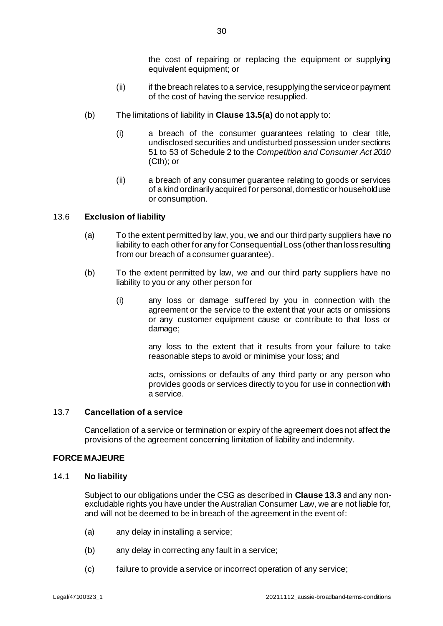the cost of repairing or replacing the equipment or supplying equivalent equipment; or

- (ii) if the breach relates to a service, resupplying the service or payment of the cost of having the service resupplied.
- (b) The limitations of liability in **Claus[e 13.5\(a\)](#page-32-2)** do not apply to:
	- (i) a breach of the consumer guarantees relating to clear title, undisclosed securities and undisturbed possession under sections 51 to 53 of Schedule 2 to the *Competition and Consumer Act 2010* (Cth); or
	- (ii) a breach of any consumer guarantee relating to goods or services of a kind ordinarily acquired for personal, domestic or household use or consumption.

## 13.6 **Exclusion of liability**

- (a) To the extent permitted by law, you, we and our third party suppliers have no liability to each other for any for Consequential Loss (other than loss resulting from our breach of a consumer guarantee).
- (b) To the extent permitted by law, we and our third party suppliers have no liability to you or any other person for
	- (i) any loss or damage suffered by you in connection with the agreement or the service to the extent that your acts or omissions or any customer equipment cause or contribute to that loss or damage;

any loss to the extent that it results from your failure to take reasonable steps to avoid or minimise your loss; and

acts, omissions or defaults of any third party or any person who provides goods or services directly to you for use in connection with a service.

#### 13.7 **Cancellation of a service**

Cancellation of a service or termination or expiry of the agreement does not affect the provisions of the agreement concerning limitation of liability and indemnity.

#### **FORCE MAJEURE**

## <span id="page-33-0"></span>14.1 **No liability**

Subject to our obligations under the CSG as described in **Clause [13.3](#page-32-1)** and any nonexcludable rights you have under the Australian Consumer Law, we are not liable for, and will not be deemed to be in breach of the agreement in the event of:

- (a) any delay in installing a service;
- (b) any delay in correcting any fault in a service;
- (c) failure to provide a service or incorrect operation of any service;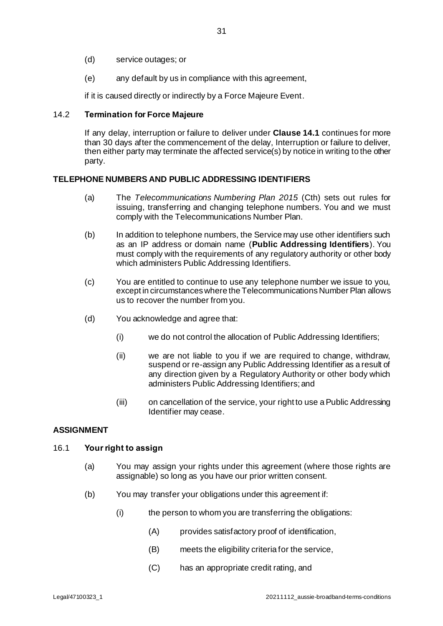- (d) service outages; or
- (e) any default by us in compliance with this agreement,

if it is caused directly or indirectly by a Force Majeure Event.

## <span id="page-34-0"></span>14.2 **Termination for Force Majeure**

If any delay, interruption or failure to deliver under **Claus[e 14.1](#page-33-0)** continues for more than 30 days after the commencement of the delay, Interruption or failure to deliver, then either party may terminate the affected service(s) by notice in writing to the other party.

## **TELEPHONE NUMBERS AND PUBLIC ADDRESSING IDENTIFIERS**

- (a) The *Telecommunications Numbering Plan 2015* (Cth) sets out rules for issuing, transferring and changing telephone numbers. You and we must comply with the Telecommunications Number Plan.
- (b) In addition to telephone numbers, the Service may use other identifiers such as an IP address or domain name (**Public Addressing Identifiers**). You must comply with the requirements of any regulatory authority or other body which administers Public Addressing Identifiers.
- (c) You are entitled to continue to use any telephone number we issue to you, except in circumstances where the Telecommunications Number Plan allows us to recover the number from you.
- (d) You acknowledge and agree that:
	- (i) we do not control the allocation of Public Addressing Identifiers;
	- (ii) we are not liable to you if we are required to change, withdraw, suspend or re-assign any Public Addressing Identifier as a result of any direction given by a Regulatory Authority or other body which administers Public Addressing Identifiers; and
	- (iii) on cancellation of the service, your right to use a Public Addressing Identifier may cease.

## **ASSIGNMENT**

#### 16.1 **Your right to assign**

- (a) You may assign your rights under this agreement (where those rights are assignable) so long as you have our prior written consent.
- (b) You may transfer your obligations under this agreement if:
	- (i) the person to whom you are transferring the obligations:
		- (A) provides satisfactory proof of identification,
		- (B) meets the eligibility criteria for the service,
		- (C) has an appropriate credit rating, and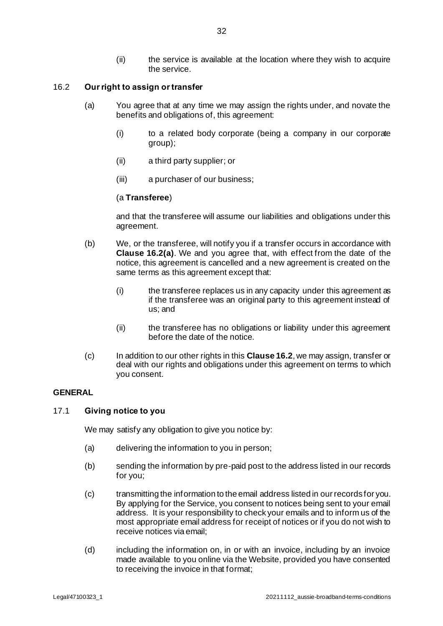## <span id="page-35-2"></span><span id="page-35-1"></span>16.2 **Our right to assign or transfer**

- (a) You agree that at any time we may assign the rights under, and novate the benefits and obligations of, this agreement:
	- (i) to a related body corporate (being a company in our corporate group);
	- (ii) a third party supplier; or
	- (iii) a purchaser of our business;

## (a **Transferee**)

and that the transferee will assume our liabilities and obligations under this agreement.

- (b) We, or the transferee, will notify you if a transfer occurs in accordance with **Clause [16.2](#page-35-1)[\(a\)](#page-35-2)**. We and you agree that, with effect from the date of the notice, this agreement is cancelled and a new agreement is created on the same terms as this agreement except that:
	- (i) the transferee replaces us in any capacity under this agreement as if the transferee was an original party to this agreement instead of us; and
	- (ii) the transferee has no obligations or liability under this agreement before the date of the notice.
- (c) In addition to our other rights in this **Claus[e 16.2](#page-35-1)**, we may assign, transfer or deal with our rights and obligations under this agreement on terms to which you consent.

## **GENERAL**

#### <span id="page-35-0"></span>17.1 **Giving notice to you**

We may satisfy any obligation to give you notice by:

- (a) delivering the information to you in person;
- (b) sending the information by pre-paid post to the address listed in our records for you;
- (c) transmitting the information to the email address listed in our records for you. By applying for the Service, you consent to notices being sent to your email address. It is your responsibility to check your emails and to inform us of the most appropriate email address for receipt of notices or if you do not wish to receive notices via email;
- (d) including the information on, in or with an invoice, including by an invoice made available to you online via the Website, provided you have consented to receiving the invoice in that format;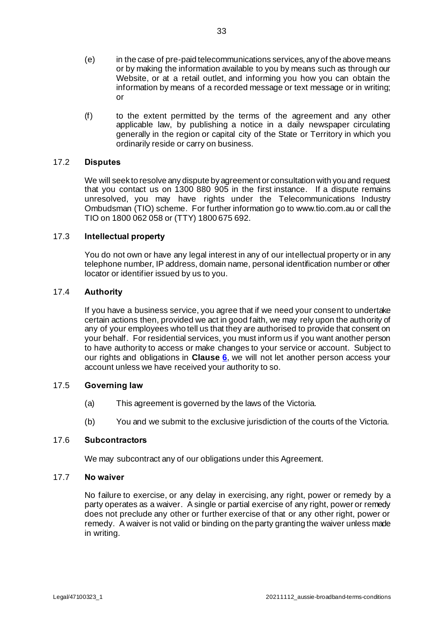- (e) in the case of pre-paid telecommunications services, any of the above means or by making the information available to you by means such as through our Website, or at a retail outlet, and informing you how you can obtain the information by means of a recorded message or text message or in writing; or
- (f) to the extent permitted by the terms of the agreement and any other applicable law, by publishing a notice in a daily newspaper circulating generally in the region or capital city of the State or Territory in which you ordinarily reside or carry on business.

## 17.2 **Disputes**

We will seek to resolve any dispute by agreement or consultation with you and request that you contact us on 1300 880 905 in the first instance. If a dispute remains unresolved, you may have rights under the Telecommunications Industry Ombudsman (TIO) scheme. For further information go to www.tio.com.au or call the TIO on 1800 062 058 or (TTY) 1800 675 692.

## 17.3 **Intellectual property**

You do not own or have any legal interest in any of our intellectual property or in any telephone number, IP address, domain name, personal identification number or other locator or identifier issued by us to you.

## 17.4 **Authority**

If you have a business service, you agree that if we need your consent to undertake certain actions then, provided we act in good faith, we may rely upon the authority of any of your employees who tell us that they are authorised to provide that consent on your behalf. For residential services, you must inform us if you want another person to have authority to access or make changes to your service or account. Subject to our rights and obligations in **Clause [6](#page-16-0)**, we will not let another person access your account unless we have received your authority to so.

## 17.5 **Governing law**

- (a) This agreement is governed by the laws of the Victoria.
- (b) You and we submit to the exclusive jurisdiction of the courts of the Victoria.

#### 17.6 **Subcontractors**

We may subcontract any of our obligations under this Agreement.

#### 17.7 **No waiver**

No failure to exercise, or any delay in exercising, any right, power or remedy by a party operates as a waiver. A single or partial exercise of any right, power or remedy does not preclude any other or further exercise of that or any other right, power or remedy. A waiver is not valid or binding on the party granting the waiver unless made in writing.